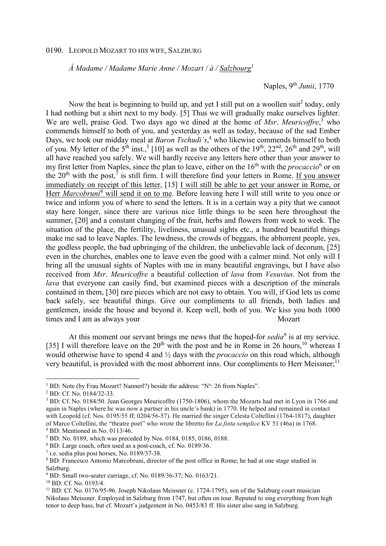## 0190. LEOPOLD MOZART TO HIS WIFE, SALZBURG

 *À Madame / Madame Marie Anne / Mozart / à / Salzbourg*<sup>1</sup>

Naples, 9th *Junii*, 1770

Now the heat is beginning to build up, and yet I still put on a woollen suit<sup>2</sup> today, only I had nothing but a shirt next to my body. [5] Thus we will gradually make ourselves lighter. We are well, praise God. Two days ago we dined at the home of *Msr*. *Meuricoffre*, 3 who commends himself to both of you, and yesterday as well as today, because of the sad Ember Days, we took our midday meal at *Baron Tschudi's*,<sup>4</sup> who likewise commends himself to both of you. My letter of the 5<sup>th</sup> inst.,<sup>5</sup> [10] as well as the others of the 19<sup>th</sup>, 22<sup>nd</sup>, 26<sup>th</sup> and 29<sup>th</sup>, will all have reached you safely. We will hardly receive any letters here other than your answer to my first letter from Naples, since the plan to leave, either on the 16<sup>th</sup> with the *procaccio*<sup>6</sup> or on the  $20<sup>th</sup>$  with the post,<sup>7</sup> is still firm. I will therefore find your letters in Rome. If you answer immediately on receipt of this letter, [15] I will still be able to get your answer in Rome, or Herr *Marcobruni*<sup>8</sup> will send it on to me. Before leaving here I will still write to you once or twice and inform you of where to send the letters. It is in a certain way a pity that we cannot stay here longer, since there are various nice little things to be seen here throughout the summer, [20] and a constant changing of the fruit, herbs and flowers from week to week. The situation of the place, the fertility, liveliness, unusual sights etc., a hundred beautiful things make me sad to leave Naples. The lewdness, the crowds of beggars, the abhorrent people, yes, the godless people, the bad upbringing of the children, the unbelievable lack of decorum, [25] even in the churches, enables one to leave even the good with a calmer mind. Not only will I bring all the unusual sights of Naples with me in many beautiful engravings, but I have also received from *Msr*. *Meuricoffre* a beautiful collection of *lava* from *Vesuvius*. Not from the *lava* that everyone can easily find, but examined pieces with a description of the minerals contained in them, [30] rare pieces which are not easy to obtain. You will, if God lets us come back safely, see beautiful things. Give our compliments to all friends, both ladies and gentlemen, inside the house and beyond it. Keep well, both of you. We kiss you both 1000 times and I am as always your Mozart

At this moment our servant brings me news that the hoped-for  $\text{sedia}^9$  is at my service. [35] I will therefore leave on the  $20<sup>th</sup>$  with the post and be in Rome in 26 hours,<sup>10</sup> whereas I would otherwise have to spend 4 and ½ days with the *procaccio* on this road which, although very beautiful, is provided with the most abhorrent inns. Our compliments to Herr Meissner;<sup>11</sup>

 $\overline{a}$ 

<sup>&</sup>lt;sup>1</sup> BD: Note (by Frau Mozart? Nannerl?) beside the address: "N°: 26 from Naples".

<sup>2</sup> BD: Cf. No. 0184/32-33.

<sup>&</sup>lt;sup>3</sup> BD: Cf. No. 0184/50. Jean Georges Meuricoffre (1750-1806), whom the Mozarts had met in Lyon in 1766 and again in Naples (where he was now a partner in his uncle's bank) in 1770. He helped and remained in contact with Leopold (cf. Nos. 0195/55 ff; 0204/56-57). He married the singer Celesta Coltellini (1764-1817), daughter of Marco Coltellini, the "theatre poet" who wrote the libretto for *La finta semplice* KV 51 (46a) in 1768. 4 BD: Mentioned in No. 0113/46.

<sup>5</sup> BD: No. 0189, which was preceded by Nos. 0184, 0185, 0186, 0188.

<sup>6</sup> BD: Large coach, often used as a post-coach, cf. No. 0189/36.

<sup>7</sup> i.e. sedia plus post horses, No. 0189/37-38.

<sup>&</sup>lt;sup>8</sup> BD: Francesco Antonio Marcobruni, director of the post office in Rome; he had at one stage studied in Salzburg.

<sup>&</sup>lt;sup>9</sup> BD: Small two-seater carriage, cf. No. 0189/36-37; No. 0163/21.

<sup>10</sup> BD: Cf. No. 0193/4.

<sup>&</sup>lt;sup>11</sup> BD: Cf. No. 0176/95-96. Joseph Nikolaus Meissner (c. 1724-1795), son of the Salzburg court musician Nikolaus Meissner. Employed in Salzburg from 1747, but often on tour. Reputed to sing everything from high tenor to deep bass, but cf. Mozart's judgement in No. 0453/83 ff. His sister also sang in Salzburg.